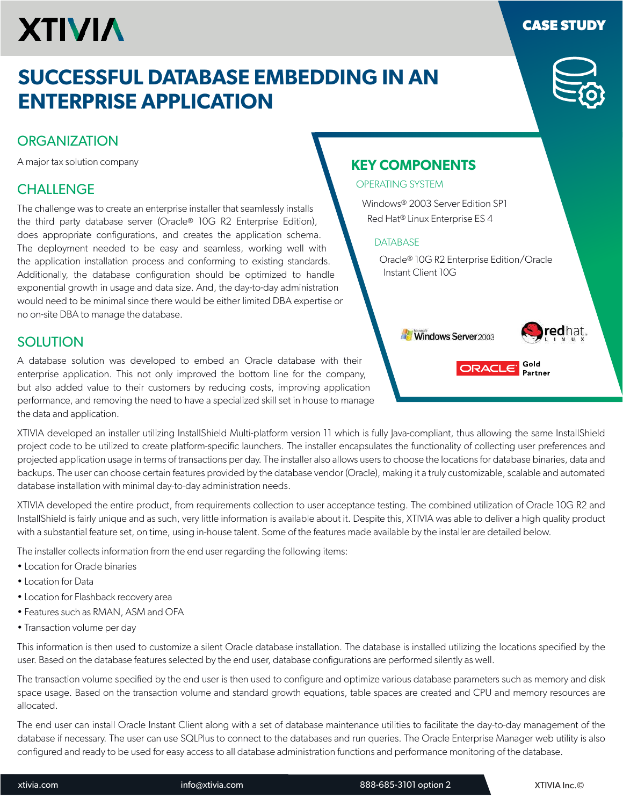# **XTIVIA**

## **SUCCESSFUL DATABASE EMBEDDING IN AN ENTERPRISE APPLICATION**

### **ORGANIZATION**

A major tax solution company

## **CHALLENGE**

The challenge was to create an enterprise installer that seamlessly installs the third party database server (Oracle® 10G R2 Enterprise Edition), does appropriate configurations, and creates the application schema. The deployment needed to be easy and seamless, working well with the application installation process and conforming to existing standards. Additionally, the database configuration should be optimized to handle exponential growth in usage and data size. And, the day-to-day administration would need to be minimal since there would be either limited DBA expertise or no on-site DBA to manage the database.

## **SOLUTION**

A database solution was developed to embed an Oracle database with their enterprise application. This not only improved the bottom line for the company, but also added value to their customers by reducing costs, improving application performance, and removing the need to have a specialized skill set in house to manage the data and application.

XTIVIA developed an installer utilizing InstallShield Multi-platform version 11 which is fully Java-compliant, thus allowing the same InstallShield project code to be utilized to create platform-speciic launchers. The installer encapsulates the functionality of collecting user preferences and projected application usage in terms of transactions per day. The installer also allows users to choose the locations for database binaries, data and backups. The user can choose certain features provided by the database vendor (Oracle), making it a truly customizable, scalable and automated database installation with minimal day-to-day administration needs.

XTIVIA developed the entire product, from requirements collection to user acceptance testing. The combined utilization of Oracle 10G R2 and InstallShield is fairly unique and as such, very little information is available about it. Despite this, XTIVIA was able to deliver a high quality product with a substantial feature set, on time, using in-house talent. Some of the features made available by the installer are detailed below.

The installer collects information from the end user regarding the following items:

- Location for Oracle binaries
- Location for Data
- Location for Flashback recovery area
- Features such as RMAN, ASM and OFA
- Transaction volume per day

This information is then used to customize a silent Oracle database installation. The database is installed utilizing the locations speciied by the user. Based on the database features selected by the end user, database configurations are performed silently as well.

The transaction volume specified by the end user is then used to configure and optimize various database parameters such as memory and disk space usage. Based on the transaction volume and standard growth equations, table spaces are created and CPU and memory resources are allocated.

The end user can install Oracle Instant Client along with a set of database maintenance utilities to facilitate the day-to-day management of the database if necessary. The user can use SQLPlus to connect to the databases and run queries. The Oracle Enterprise Manager web utility is also configured and ready to be used for easy access to all database administration functions and performance monitoring of the database.

## **KEY COMPONENTS**

#### OPERATING SYSTEM

Windows® 2003 Server Edition SP1 Red Hat® Linux Enterprise ES 4

#### **DATABASE**

Oracle® 10G R2 Enterprise Edition/Oracle Instant Client 10G

**Windows Server** 2003



Gold

**Partner** 

ORACLE<sup>®</sup>